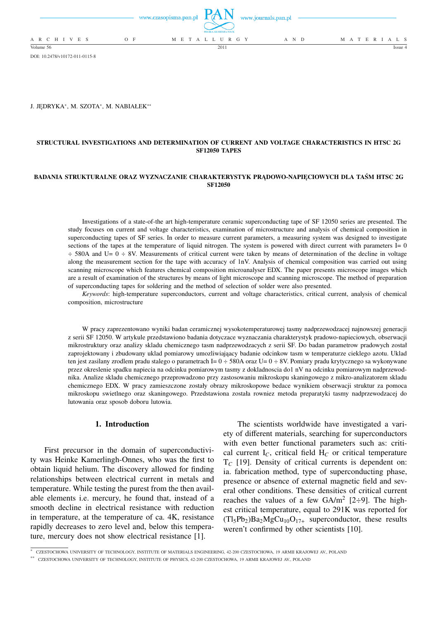|                          | www.czasopisma.pan.pl $\blacksquare$ | POLSKA AKADEMIA NAUK | www.journals.pan.pl |                   |
|--------------------------|--------------------------------------|----------------------|---------------------|-------------------|
| A R C H I V E S<br>$O$ F |                                      | M E T A L L U R G Y  | A N D               | M A T E R I A L S |
| Volume 56                |                                      | 2011                 |                     | Issue $4$         |

DOI: 10.2478/v10172-011-0115-8

J. JĘDRYKA\*, M. SZOTA\*, M. NABIAŁEK\*\*

#### **STRUCTURAL INVESTIGATIONS AND DETERMINATION OF CURRENT AND VOLTAGE CHARACTERISTICS IN HTSC 2G SF12050 TAPES**

#### **BADANIA STRUKTURALNE ORAZ WYZNACZANIE CHARAKTERYSTYK PRĄDOWO-NAPIĘCIOWYCH DLA TAŚM HTSC 2G SF12050**

Investigations of a state-of-the art high-temperature ceramic superconducting tape of SF 12050 series are presented. The study focuses on current and voltage characteristics, examination of microstructure and analysis of chemical composition in superconducting tapes of SF series. In order to measure current parameters, a measuring system was designed to investigate sections of the tapes at the temperature of liquid nitrogen. The system is powered with direct current with parameters  $I = 0$ ÷ 580A and U= 0 ÷ 8V. Measurements of critical current were taken by means of determination of the decline in voltage along the measurement section for the tape with accuracy of 1nV. Analysis of chemical composition was carried out using scanning microscope which features chemical composition microanalyser EDX. The paper presents microscope images which are a result of examination of the structures by means of light microscope and scanning microscope. The method of preparation of superconducting tapes for soldering and the method of selection of solder were also presented.

*Keywords*: high-temperature superconductors, current and voltage characteristics, critical current, analysis of chemical composition, microstructure

W pracy zaprezentowano wyniki badan ceramicznej wysokotemperaturowej tasmy nadprzewodzacej najnowszej generacji z serii SF 12050. W artykule przedstawiono badania dotyczace wyznaczania charakterystyk pradowo-napieciowych, obserwacji mikrostruktury oraz analizy skladu chemicznego tasm nadprzewodzacych z serii SF. Do badan parametrow pradowych został zaprojektowany i zbudowany uklad pomiarowy umozliwiająacy badanie odcinkow tasm w temperaturze cieklego azotu. Uklad ten jest zasilany zrodlem pradu stalego o parametrach I=  $0 \div 580$ A oraz U=  $0 \div 8V$ . Pomiary pradu krytycznego sa wykonywane przez okreslenie spadku napiecia na odcinku pomiarowym tasmy z dokladnoscia do1 nV na odcinku pomiarowym nadprzewodnika. Analize skladu chemicznego przeprowadzono przy zastosowaniu mikroskopu skaningowego z mikro-analizatorem skladu chemicznego EDX. W pracy zamieszczone zostały obrazy mikroskopowe bedace wynikiem obserwacji struktur za pomoca mikroskopu swietlnego oraz skaningowego. Przedstawiona została rowniez metoda preparatyki tasmy nadprzewodzacej do lutowania oraz sposob doboru lutowia.

# **1. Introduction**

First precursor in the domain of superconductivity was Heinke Kamerlingh-Onnes, who was the first to obtain liquid helium. The discovery allowed for finding relationships between electrical current in metals and temperature. While testing the purest from the then available elements i.e. mercury, he found that, instead of a smooth decline in electrical resistance with reduction in temperature, at the temperature of ca. 4K, resistance rapidly decreases to zero level and, below this temperature, mercury does not show electrical resistance [1].

The scientists worldwide have investigated a variety of different materials, searching for superconductors with even better functional parameters such as: critical current  $I_C$ , critical field  $H_C$  or critical temperature T*<sup>C</sup>* [19]. Density of critical currents is dependent on: ia. fabrication method, type of superconducting phase, presence or absence of external magnetic field and several other conditions. These densities of critical current reaches the values of a few  $GA/m^2$  [2÷9]. The highest critical temperature, equal to 291K was reported for  $(Tl_5Pb_2)Ba_2MgCu_{10}O_{17+}$  superconductor, these results weren't confirmed by other scientists [10].

<sup>∗</sup> CZESTOCHOWA UNIVERSITY OF TECHNOLOGY, INSTITUTE OF MATERIALS ENGINEERING, 42-200 CZESTOCHOWA, 19 ARMII KRAJOWEJ AV., POLAND

<sup>∗∗</sup> CZESTOCHOWA UNIVERSITY OF TECHNOLOGY, INSTITUTE OF PHYSICS, 42-200 CZESTOCHOWA, 19 ARMII KRAJOWEJ AV., POLAND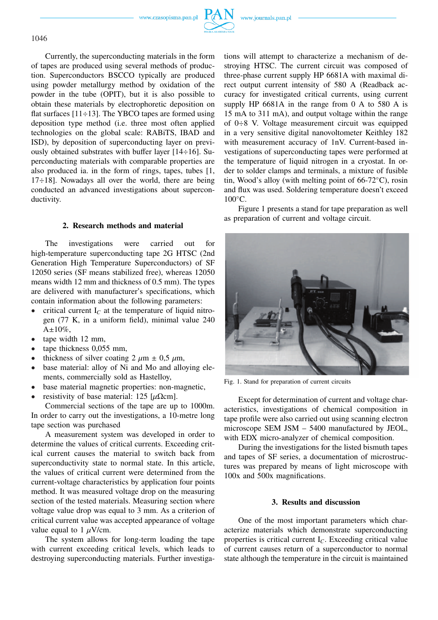www.czasopisma.pan.pl





Currently, the superconducting materials in the form of tapes are produced using several methods of production. Superconductors BSCCO typically are produced using powder metallurgy method by oxidation of the powder in the tube (OPIT), but it is also possible to obtain these materials by electrophoretic deposition on flat surfaces  $[11 \div 13]$ . The YBCO tapes are formed using deposition type method (i.e. three most often applied technologies on the global scale: RABiTS, IBAD and ISD), by deposition of superconducting layer on previously obtained substrates with buffer layer [14÷16]. Superconducting materials with comparable properties are also produced ia. in the form of rings, tapes, tubes [1, 17÷18]. Nowadays all over the world, there are being conducted an advanced investigations about superconductivity.

### **2. Research methods and material**

The investigations were carried out for high-temperature superconducting tape 2G HTSC (2nd Generation High Temperature Superconductors) of SF 12050 series (SF means stabilized free), whereas 12050 means width 12 mm and thickness of 0.5 mm). The types are delivered with manufacturer's specifications, which contain information about the following parameters:

- critical current I<sub>C</sub> at the temperature of liquid nitrogen (77 K, in a uniform field), minimal value 240  $A \pm 10\%$ ,
- tape width 12 mm,
- tape thickness 0,055 mm,
- thickness of silver coating 2  $\mu$ m  $\pm$  0,5  $\mu$ m,
- base material: alloy of Ni and Mo and alloying elements, commercially sold as Hastelloy,
- base material magnetic properties: non-magnetic,
- resistivity of base material: 125  $[\mu \Omega \text{cm}]$ .

Commercial sections of the tape are up to 1000m. In order to carry out the investigations, a 10-metre long tape section was purchased

A measurement system was developed in order to determine the values of critical currents. Exceeding critical current causes the material to switch back from superconductivity state to normal state. In this article, the values of critical current were determined from the current-voltage characteristics by application four points method. It was measured voltage drop on the measuring section of the tested materials. Measuring section where voltage value drop was equal to 3 mm. As a criterion of critical current value was accepted appearance of voltage value equal to 1  $\mu$ V/cm.

The system allows for long-term loading the tape with current exceeding critical levels, which leads to destroying superconducting materials. Further investigations will attempt to characterize a mechanism of destroying HTSC. The current circuit was composed of three-phase current supply HP 6681A with maximal direct output current intensity of 580 A (Readback accuracy for investigated critical currents, using current supply HP 6681A in the range from 0 A to 580 A is 15 mA to 311 mA), and output voltage within the range of 0÷8 V. Voltage measurement circuit was equipped in a very sensitive digital nanovoltometer Keithley 182 with measurement accuracy of 1nV. Current-based investigations of superconducting tapes were performed at the temperature of liquid nitrogen in a cryostat. In order to solder clamps and terminals, a mixture of fusible tin, Wood's alloy (with melting point of 66-72◦C), rosin and flux was used. Soldering temperature doesn't exceed  $100\degree$ C.

Figure 1 presents a stand for tape preparation as well as preparation of current and voltage circuit.



Fig. 1. Stand for preparation of current circuits

Except for determination of current and voltage characteristics, investigations of chemical composition in tape profile were also carried out using scanning electron microscope SEM JSM – 5400 manufactured by JEOL, with EDX micro-analyzer of chemical composition.

During the investigations for the listed bismuth tapes and tapes of SF series, a documentation of microstructures was prepared by means of light microscope with 100x and 500x magnifications.

### **3. Results and discussion**

One of the most important parameters which characterize materials which demonstrate superconducting properties is critical current I*C*. Exceeding critical value of current causes return of a superconductor to normal state although the temperature in the circuit is maintained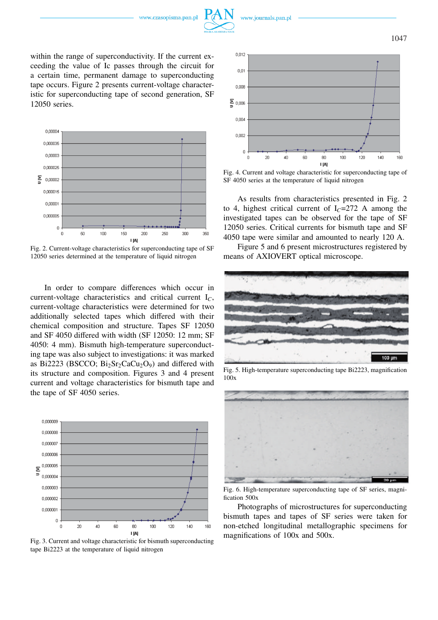



within the range of superconductivity. If the current exceeding the value of Ic passes through the circuit for a certain time, permanent damage to superconducting tape occurs. Figure 2 presents current-voltage characteristic for superconducting tape of second generation, SF 12050 series.



Fig. 2. Current-voltage characteristics for superconducting tape of SF 12050 series determined at the temperature of liquid nitrogen

In order to compare differences which occur in current-voltage characteristics and critical current I*C*, current-voltage characteristics were determined for two additionally selected tapes which differed with their chemical composition and structure. Tapes SF 12050 and SF 4050 differed with width (SF 12050: 12 mm; SF 4050: 4 mm). Bismuth high-temperature superconducting tape was also subject to investigations: it was marked as Bi2223 (BSCCO;  $Bi<sub>2</sub>Sr<sub>2</sub>CaCu<sub>2</sub>O<sub>9</sub>$ ) and differed with its structure and composition. Figures 3 and 4 present current and voltage characteristics for bismuth tape and the tape of SF 4050 series.



Fig. 3. Current and voltage characteristic for bismuth superconducting tape Bi2223 at the temperature of liquid nitrogen



Fig. 4. Current and voltage characteristic for superconducting tape of SF 4050 series at the temperature of liquid nitrogen

As results from characteristics presented in Fig. 2 to 4, highest critical current of  $I<sub>C</sub>=272$  A among the investigated tapes can be observed for the tape of SF 12050 series. Critical currents for bismuth tape and SF 4050 tape were similar and amounted to nearly 120 A.

Figure 5 and 6 present microstructures registered by means of AXIOVERT optical microscope.



Fig. 5. High-temperature superconducting tape Bi2223, magnification 100x



Fig. 6. High-temperature superconducting tape of SF series, magnification 500x

Photographs of microstructures for superconducting bismuth tapes and tapes of SF series were taken for non-etched longitudinal metallographic specimens for magnifications of 100x and 500x.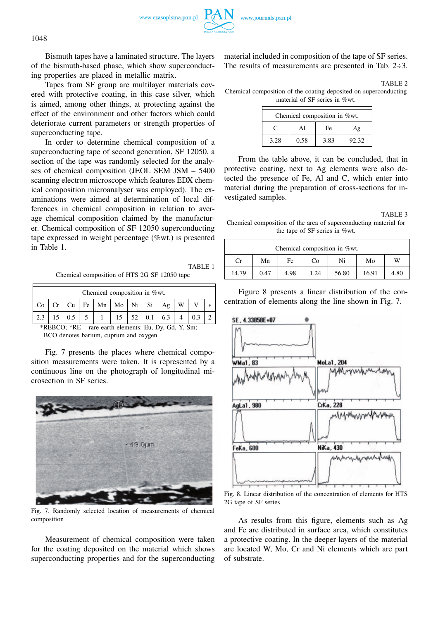www.czasopisma.pan.pl

Bismuth tapes have a laminated structure. The layers of the bismuth-based phase, which show superconducting properties are placed in metallic matrix.

Tapes from SF group are multilayer materials covered with protective coating, in this case silver, which is aimed, among other things, at protecting against the effect of the environment and other factors which could deteriorate current parameters or strength properties of superconducting tape.

In order to determine chemical composition of a superconducting tape of second generation, SF 12050, a section of the tape was randomly selected for the analyses of chemical composition (JEOL SEM JSM – 5400 scanning electron microscope which features EDX chemical composition microanalyser was employed). The examinations were aimed at determination of local differences in chemical composition in relation to average chemical composition claimed by the manufacturer. Chemical composition of SF 12050 superconducting tape expressed in weight percentage (%wt.) is presented in Table 1.

TABLE 1 Chemical composition of HTS 2G SF 12050 tape

| Chemical composition in %wt. |  |    |  |                                                        |  |    |  |     |  |  |
|------------------------------|--|----|--|--------------------------------------------------------|--|----|--|-----|--|--|
| Co                           |  | Cu |  | $\vert$ Fe $\vert$ Mn $\vert$ Mo $\vert$ Ni $\vert$ Si |  |    |  | Ag  |  |  |
|                              |  |    |  |                                                        |  | 52 |  | 6.3 |  |  |

\*REBCO; \*RE – rare earth elements: Eu, Dy, Gd, Y, Sm; BCO denotes barium, cuprum and oxygen.

Fig. 7 presents the places where chemical composition measurements were taken. It is represented by a continuous line on the photograph of longitudinal microsection in SF series.



Fig. 7. Randomly selected location of measurements of chemical composition

Measurement of chemical composition were taken for the coating deposited on the material which shows superconducting properties and for the superconducting material included in composition of the tape of SF series. The results of measurements are presented in Tab. 2÷3.

TABLE 2

Chemical composition of the coating deposited on superconducting material of SF series in %wt.

| Chemical composition in %wt. |      |      |       |  |  |
|------------------------------|------|------|-------|--|--|
| C                            |      | Fe   | Αg    |  |  |
| 3.28                         | 0.58 | 3.83 | 92.32 |  |  |

From the table above, it can be concluded, that in protective coating, next to Ag elements were also detected the presence of Fe, Al and C, which enter into material during the preparation of cross-sections for investigated samples.

TABLE 3 Chemical composition of the area of superconducting material for the tape of SF series in %wt.

| Chemical composition in %wt. |      |      |      |       |       |      |  |
|------------------------------|------|------|------|-------|-------|------|--|
| Cr                           | Mn   | Fe   | Co   | Ni    | Mo    | W    |  |
| 14.79                        | 0.47 | 4.98 | 1.24 | 56.80 | 16.91 | 4.80 |  |

Figure 8 presents a linear distribution of the concentration of elements along the line shown in Fig. 7.



Fig. 8. Linear distribution of the concentration of elements for HTS 2G tape of SF series

As results from this figure, elements such as Ag and Fe are distributed in surface area, which constitutes a protective coating. In the deeper layers of the material are located W, Mo, Cr and Ni elements which are part of substrate.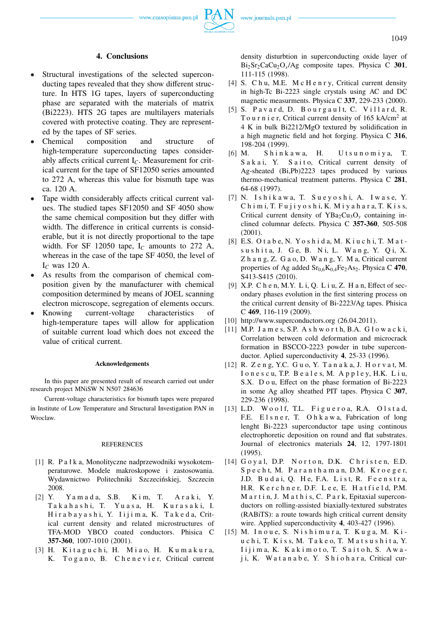

## **4. Conclusions**

- Structural investigations of the selected superconducting tapes revealed that they show different structure. In HTS 1G tapes, layers of superconducting phase are separated with the materials of matrix (Bi2223). HTS 2G tapes are multilayers materials covered with protective coating. They are represented by the tapes of SF series.
- Chemical composition and structure of high-temperature superconducting tapes considerably affects critical current I*C*. Measurement for critical current for the tape of SF12050 series amounted to 272 A, whereas this value for bismuth tape was ca. 120 A.
- Tape width considerably affects critical current values. The studied tapes SF12050 and SF 4050 show the same chemical composition but they differ with width. The difference in critical currents is considerable, but it is not directly proportional to the tape width. For SF 12050 tape,  $I_C$  amounts to 272 A, whereas in the case of the tape SF 4050, the level of I*<sup>C</sup>* was 120 A.
- As results from the comparison of chemical composition given by the manufacturer with chemical composition determined by means of JOEL scanning electron microscope, segregation of elements occurs.
- Knowing current-voltage characteristics of high-temperature tapes will allow for application of suitable current load which does not exceed the value of critical current.

#### **Acknowledgements**

In this paper are presented result of research carried out under research project MNiSW N N507 284636

Current-voltage characteristics for bismuth tapes were prepared in Institute of Low Temperature and Structural Investigation PAN in Wroclaw.

#### **REFERENCES**

- [1] R. P a ł k a, Monolityczne nadprzewodniki wysokotemperaturowe. Modele makroskopowe i zastosowania. Wydawnictwo Politechniki Szczecińskiej, Szczecin 2008.
- [2] Y. Ya m a d a, S.B. K i m, T. A r a k i, Y. T a k a h a s h i, T. Y u a s a, H. K u r a s a k i, I. Hir a b a y a s h i, Y. I i j i m a, K. T a k e d a, Critical current density and related microstructures of TFA-MOD YBCO coated conductors. Phisica C **357-360**, 1007-1010 (2001).
- [3] H. Kitaguchi, H. Miao, H. Kumakura, K. To g a n o, B. C h e n e v i e r, Critical current

density disturbtion in superconducting oxide layer of Bi2Sr2CaCu2O*x*/Ag composite tapes. Physica C **301**, 111-115 (1998).

- [4] S. C h u, M.E. M c H e n r y, Critical current density in high-Tc Bi-2223 single crystals using AC and DC magnetic measurments. Physica C **337**, 229-233 (2000).
- [5] S. Pavard, D. Bourgault, C. Villard, R. To u r n i e r, Critical current density of  $165 \text{ kA/cm}^2$  at 4 K in bulk Bi2212/MgO textured by solidification in a high magnetic field and hot forging. Physica C **316**, 198-204 (1999).
- [6] M. S h i n k a w a, H. U t s u n o m i y a, T. Sakai, Y. Saito, Critical current density of Ag-sheated (Bi,Pb)2223 tapes produced by various thermo-mechanical treatment patterns. Physica C **281**, 64-68 (1997).
- [7] N. I s h i k a w a, T. S u e y o s h i, A. I w a s e, Y.  $Ch$  i m i,  $T$ .  $Fu$  j  $i$  y  $o$  s  $h$   $i$ ,  $K$ .  $M$   $i$  y  $a$   $h$   $a$   $r$   $a$ ,  $T$ .  $Ki$   $s$   $s$ , Critical current density of  $YBa<sub>2</sub>Cu<sub>3</sub>O<sub>y</sub>$  containing inclined columnar defects. Physica C **357-360**, 505-508 (2001).
- [8] E.S. O t a b e, N. Yo s h i d a, M. K i u c h i, T. M a t sushita, J. Ge, B. Ni, L. Wang, Y. Qi, X. Z h a n g, Z. G a o, D. W a n g, Y. M a, Critical current properties of Ag added  $Sr<sub>0,6</sub>K<sub>0,4</sub>Fe<sub>2</sub>As<sub>2</sub>$ . Physica C 470, S413-S415 (2010).
- [9] X.P. C h e n, M.Y. L i, Q. L i u, Z. H a n, Effect of secondary phases evolution in the first sintering process on the critical current density of Bi-2223/Ag tapes. Phisica C **469**, 116-119 (2009).
- [10] http://www.superconductors.org (26.04.2011).
- [11] M.P. James, S.P. Ashworth, B.A. Głowacki, Correlation between cold deformation and microcrack formation in BSCCO-2223 powder in tube superconductor. Aplied superconductivity **4**, 25-33 (1996).
- [12] R. Z e n g, Y.C. G u o, Y. T a n a k a, J. H o r v a t, M. I o n e s c u, T.P. B e a l e s, M. A p p l e y, H.K. L i u, S.X. D o u, Effect on the phase formation of Bi-2223 in some Ag alloy sheathed PIT tapes. Physica C **307**, 229-236 (1998).
- [13] L.D. Woolf, T.L. Figueroa, R.A. Olstad, F.E. E l s n e r, T. O h k a w a, Fabrication of long lenght Bi-2223 superconductor tape using continous electrophoretic deposition on round and flat substrates. Journal of electronics materials **24**, 12, 1797-1801 (1995).
- [14] Goyal, D.P. Norton, D.K. Christen, E.D. Specht, M. Paranthaman, D.M. Kroeger, J.D. Budai, Q. He, F.A. List, R. Feenstra, H.R. K e r c h n e r, D.F. L e e, E. H a t f i e l d, P.M. M a r t i n, J. M a t h i s, C. P a r k, Epitaxial superconductors on rolling-assisted biaxially-textured substrates (RABiTS): a route towards high critical current density wire. Applied superconductivity **4**, 403-427 (1996).
- [15] M. Inoue, S. Nishimura, T. Kuga, M. Kiu c h i, T. K i s s, M. T a k e o, T. M a t s u s h i t a, Y.  $I$ ijima, K. Kakimoto, T. Saitoh, S. Awaj i, K. W a t a n a b e, Y. S h i o h a r a, Critical cur-